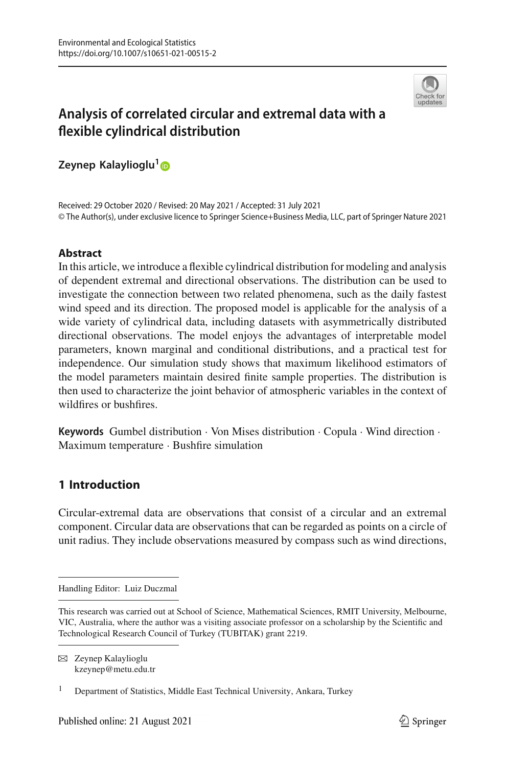

# **Analysis of correlated circular and extremal data with a flexible cylindrical distribution**

**Zeynep Kalaylioglu[1](http://orcid.org/0000-0002-2216-188X)**

Received: 29 October 2020 / Revised: 20 May 2021 / Accepted: 31 July 2021 © The Author(s), under exclusive licence to Springer Science+Business Media, LLC, part of Springer Nature 2021

## **Abstract**

In this article, we introduce a flexible cylindrical distribution for modeling and analysis of dependent extremal and directional observations. The distribution can be used to investigate the connection between two related phenomena, such as the daily fastest wind speed and its direction. The proposed model is applicable for the analysis of a wide variety of cylindrical data, including datasets with asymmetrically distributed directional observations. The model enjoys the advantages of interpretable model parameters, known marginal and conditional distributions, and a practical test for independence. Our simulation study shows that maximum likelihood estimators of the model parameters maintain desired finite sample properties. The distribution is then used to characterize the joint behavior of atmospheric variables in the context of wildfires or bushfires.

**Keywords** Gumbel distribution · Von Mises distribution · Copula · Wind direction · Maximum temperature · Bushfire simulation

# **1 Introduction**

Circular-extremal data are observations that consist of a circular and an extremal component. Circular data are observations that can be regarded as points on a circle of unit radius. They include observations measured by compass such as wind directions,

B Zeynep Kalaylioglu kzeynep@metu.edu.tr

Handling Editor: Luiz Duczmal

This research was carried out at School of Science, Mathematical Sciences, RMIT University, Melbourne, VIC, Australia, where the author was a visiting associate professor on a scholarship by the Scientific and Technological Research Council of Turkey (TUBITAK) grant 2219.

<sup>&</sup>lt;sup>1</sup> Department of Statistics, Middle East Technical University, Ankara, Turkey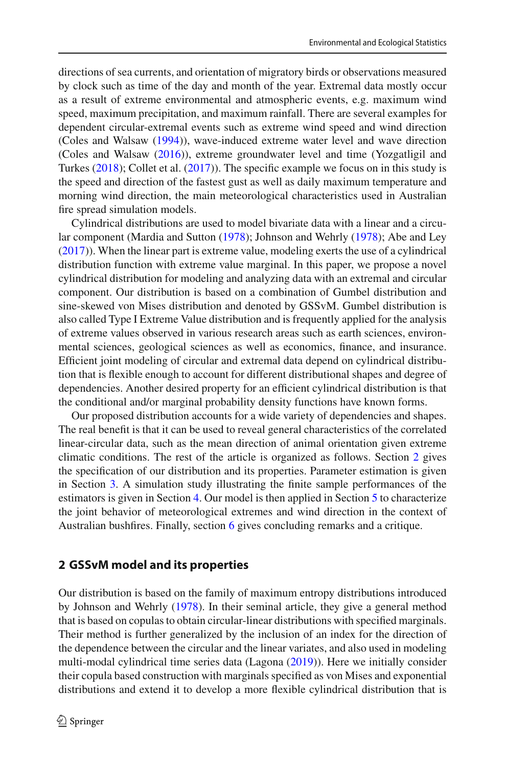directions of sea currents, and orientation of migratory birds or observations measured by clock such as time of the day and month of the year. Extremal data mostly occur as a result of extreme environmental and atmospheric events, e.g. maximum wind speed, maximum precipitation, and maximum rainfall. There are several examples for dependent circular-extremal events such as extreme wind speed and wind direction (Coles and Walsa[w](#page-15-0) [\(1994\)](#page-15-0)), wave-induced extreme water level and wave direction (Coles and Walsa[w](#page-15-1) [\(2016](#page-15-1))), extreme groundwater level and time (Yozgatligil and Turke[s](#page-15-2) [\(2018](#page-15-2)); Collet et al[.](#page-15-3) [\(2017](#page-15-3))). The specific example we focus on in this study is the speed and direction of the fastest gust as well as daily maximum temperature and morning wind direction, the main meteorological characteristics used in Australian fire spread simulation models.

Cylindrical distributions are used to model bivariate data with a linear and a circular component (Mardia and Sutto[n](#page-15-4) [\(1978](#page-15-4)); Johnson and Wehrl[y](#page-15-5) [\(1978](#page-15-5)); Abe and Le[y](#page-15-6) [\(2017\)](#page-15-6)). When the linear part is extreme value, modeling exerts the use of a cylindrical distribution function with extreme value marginal. In this paper, we propose a novel cylindrical distribution for modeling and analyzing data with an extremal and circular component. Our distribution is based on a combination of Gumbel distribution and sine-skewed von Mises distribution and denoted by GSSvM. Gumbel distribution is also called Type I Extreme Value distribution and is frequently applied for the analysis of extreme values observed in various research areas such as earth sciences, environmental sciences, geological sciences as well as economics, finance, and insurance. Efficient joint modeling of circular and extremal data depend on cylindrical distribution that is flexible enough to account for different distributional shapes and degree of dependencies. Another desired property for an efficient cylindrical distribution is that the conditional and/or marginal probability density functions have known forms.

Our proposed distribution accounts for a wide variety of dependencies and shapes. The real benefit is that it can be used to reveal general characteristics of the correlated linear-circular data, such as the mean direction of animal orientation given extreme climatic conditions. The rest of the article is organized as follows. Section [2](#page-1-0) gives the specification of our distribution and its properties. Parameter estimation is given in Section [3.](#page-6-0) A simulation study illustrating the finite sample performances of the estimators is given in Section [4.](#page-9-0) Our model is then applied in Section [5](#page-10-0) to characterize the joint behavior of meteorological extremes and wind direction in the context of Australian bushfires. Finally, section [6](#page-14-0) gives concluding remarks and a critique.

## <span id="page-1-0"></span>**2 GSSvM model and its properties**

Our distribution is based on the family of maximum entropy distributions introduced by Johnson and Wehrl[y](#page-15-5) [\(1978](#page-15-5)). In their seminal article, they give a general method that is based on copulas to obtain circular-linear distributions with specified marginals. Their method is further generalized by the inclusion of an index for the direction of the dependence between the circular and the linear variates, and also used in modeling multi-modal cylindrical time series data (Lagon[a](#page-15-7) [\(2019](#page-15-7))). Here we initially consider their copula based construction with marginals specified as von Mises and exponential distributions and extend it to develop a more flexible cylindrical distribution that is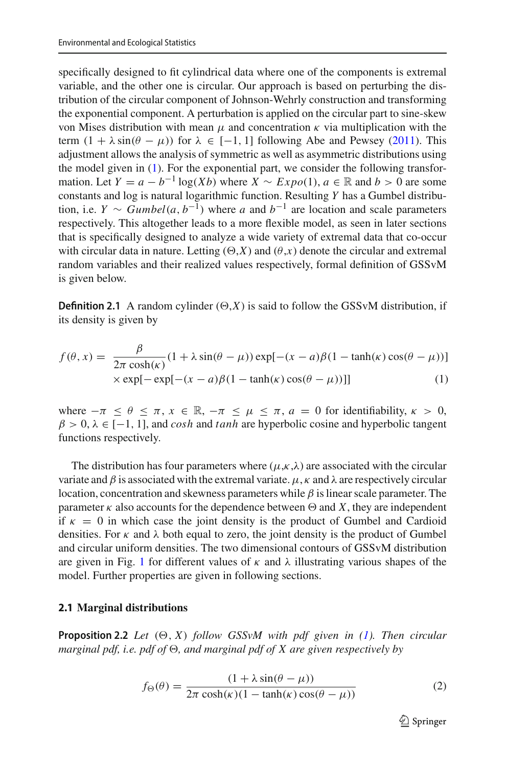specifically designed to fit cylindrical data where one of the components is extremal variable, and the other one is circular. Our approach is based on perturbing the distribution of the circular component of Johnson-Wehrly construction and transforming the exponential component. A perturbation is applied on the circular part to sine-skew von Mises distribution with mean  $\mu$  and concentration κ via multiplication with the term  $(1 + \lambda \sin(\theta - \mu))$  for  $\lambda \in [-1, 1]$  following Abe and Pewse[y](#page-15-8) [\(2011\)](#page-15-8). This adjustment allows the analysis of symmetric as well as asymmetric distributions using the model given in [\(1\)](#page-2-0). For the exponential part, we consider the following transformation. Let  $Y = a - b^{-1} \log(Xb)$  where  $X \sim Expo(1)$ ,  $a \in \mathbb{R}$  and  $b > 0$  are some constants and log is natural logarithmic function. Resulting *Y* has a Gumbel distribution, i.e. *Y* ∼ *Gumbel*(*a*,  $b^{-1}$ ) where *a* and  $b^{-1}$  are location and scale parameters respectively. This altogether leads to a more flexible model, as seen in later sections that is specifically designed to analyze a wide variety of extremal data that co-occur with circular data in nature. Letting  $(\Theta, X)$  and  $(\theta, x)$  denote the circular and extremal random variables and their realized values respectively, formal definition of GSSvM is given below.

**Definition 2.1** A random cylinder  $(\Theta, X)$  is said to follow the GSSvM distribution, if its density is given by

<span id="page-2-0"></span>
$$
f(\theta, x) = \frac{\beta}{2\pi \cosh(\kappa)} (1 + \lambda \sin(\theta - \mu)) \exp[-(x - a)\beta(1 - \tanh(\kappa)\cos(\theta - \mu))]
$$
  
×  $\exp[-\exp[-(x - a)\beta(1 - \tanh(\kappa)\cos(\theta - \mu))]]$  (1)

where  $-\pi \leq \theta \leq \pi$ ,  $x \in \mathbb{R}$ ,  $-\pi \leq \mu \leq \pi$ ,  $a = 0$  for identifiability,  $\kappa > 0$ ,  $\beta > 0$ ,  $\lambda \in [-1, 1]$ , and *cosh* and *tanh* are hyperbolic cosine and hyperbolic tangent functions respectively.

The distribution has four parameters where  $(\mu, \kappa, \lambda)$  are associated with the circular variate and  $\beta$  is associated with the extremal variate.  $\mu$ ,  $\kappa$  and  $\lambda$  are respectively circular location, concentration and skewness parameters while  $\beta$  is linear scale parameter. The parameter  $\kappa$  also accounts for the dependence between  $\Theta$  and *X*, they are independent if  $\kappa = 0$  in which case the joint density is the product of Gumbel and Cardioid densities. For  $\kappa$  and  $\lambda$  both equal to zero, the joint density is the product of Gumbel and circular uniform densities. The two dimensional contours of GSSvM distribution are given in Fig. [1](#page-3-0) for different values of  $\kappa$  and  $\lambda$  illustrating various shapes of the model. Further properties are given in following sections.

#### **2.1 Marginal distributions**

**Proposition 2.2** *Let*  $(\Theta, X)$  *follow GSSvM with pdf given in [\(1\)](#page-2-0). Then circular marginal pdf, i.e. pdf of*  $\Theta$ *, and marginal pdf of X are given respectively by* 

<span id="page-2-1"></span>
$$
f_{\Theta}(\theta) = \frac{(1 + \lambda \sin(\theta - \mu))}{2\pi \cosh(\kappa)(1 - \tanh(\kappa)\cos(\theta - \mu))}
$$
(2)

 $\mathcal{D}$  Springer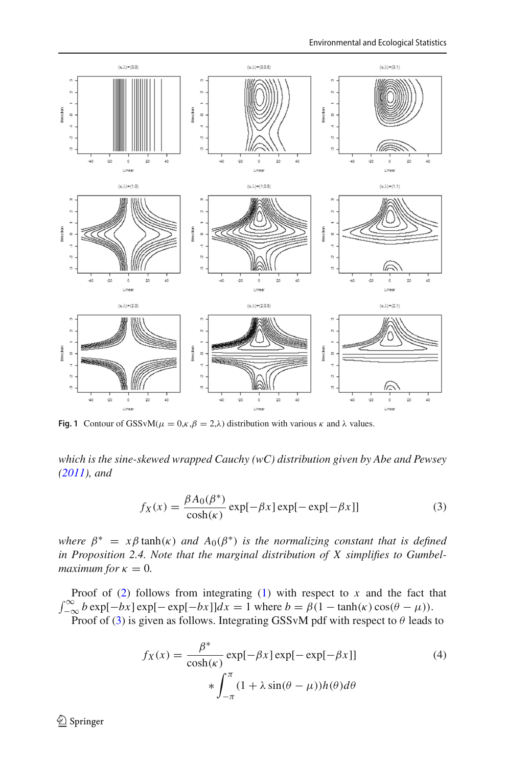

<span id="page-3-0"></span>**Fig. 1** Contour of GSSvM( $\mu = 0, \kappa, \beta = 2, \lambda$ ) distribution with various  $\kappa$  and  $\lambda$  values.

*which is the sine-skewed wrapped Cauchy (wC) distribution given by Abe and Pewse[y](#page-15-8) [\(2011\)](#page-15-8), and*

<span id="page-3-1"></span>
$$
f_X(x) = \frac{\beta A_0(\beta^*)}{\cosh(\kappa)} \exp[-\beta x] \exp[-\exp[-\beta x]] \tag{3}
$$

*where*  $\beta^* = x\beta \tanh(\kappa)$  *and*  $A_0(\beta^*)$  *is the normalizing constant that is defined in Proposition 2.4. Note that the marginal distribution of X simplifies to Gumbelmaximum for*  $\kappa = 0$ *.* 

Proof of  $(2)$  follows from integrating  $(1)$  with respect to  $x$  and the fact that  $\int_{-\infty}^{\infty} b \exp[-bx] \exp[-bx] dx = 1$  where  $b = \beta(1 - \tanh(\kappa) \cos(\theta - \mu)).$ 

Proof of [\(3\)](#page-3-1) is given as follows. Integrating GSSvM pdf with respect to  $\theta$  leads to

<span id="page-3-2"></span>
$$
f_X(x) = \frac{\beta^*}{\cosh(\kappa)} \exp[-\beta x] \exp[-\exp[-\beta x]]
$$
\n
$$
* \int_{-\pi}^{\pi} (1 + \lambda \sin(\theta - \mu)) h(\theta) d\theta
$$
\n(4)

<sup>2</sup> Springer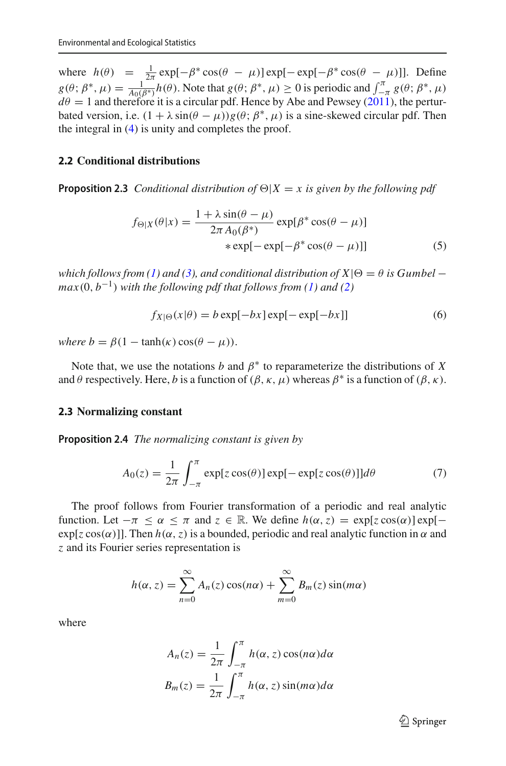where  $h(\theta) = \frac{1}{2\pi} \exp[-\beta^* \cos(\theta - \mu)] \exp[-\exp[-\beta^* \cos(\theta - \mu)]]$ . Define  $g(\theta; \beta^*, \mu) = \frac{1}{A_0(\beta^*)} h(\theta)$ . Note that  $g(\theta; \beta^*, \mu) \ge 0$  is periodic and  $\int_{-\pi}^{\pi} g(\theta; \beta^*, \mu)$  $d\theta = 1$  and therefore it is a circular pdf. Hence b[y](#page-15-8) Abe and Pewsey [\(2011](#page-15-8)), the perturbated version, i.e.  $(1 + \lambda \sin(\theta - \mu))g(\theta; \beta^*, \mu)$  is a sine-skewed circular pdf. Then the integral in [\(4\)](#page-3-2) is unity and completes the proof.

#### **2.2 Conditional distributions**

**Proposition 2.3** *Conditional distribution of*  $\Theta|X=x$  *is given by the following pdf* 

$$
f_{\Theta|X}(\theta|x) = \frac{1 + \lambda \sin(\theta - \mu)}{2\pi A_0(\beta^*)} \exp[\beta^* \cos(\theta - \mu)]
$$
  
 
$$
* \exp[-\exp[-\beta^* \cos(\theta - \mu)]]
$$
 (5)

*which follows from [\(1\)](#page-2-0)* and [\(3\)](#page-3-1), and conditional distribution of  $X|\Theta = \theta$  is Gumbel −  $max(0, b^{-1})$  *with the following pdf that follows from [\(1\)](#page-2-0) and [\(2\)](#page-2-1)* 

<span id="page-4-0"></span>
$$
f_{X|\Theta}(x|\theta) = b \exp[-bx] \exp[-\exp[-bx]] \tag{6}
$$

*where b* =  $\beta(1 - \tanh(\kappa)\cos(\theta - \mu)).$ 

Note that, we use the notations *b* and  $\beta^*$  to reparameterize the distributions of *X* and  $\theta$  respectively. Here, *b* is a function of  $(\beta, \kappa, \mu)$  whereas  $\beta^*$  is a function of  $(\beta, \kappa)$ .

#### **2.3 Normalizing constant**

**Proposition 2.4** *The normalizing constant is given by*

$$
A_0(z) = \frac{1}{2\pi} \int_{-\pi}^{\pi} \exp[z \cos(\theta)] \exp[-\exp[z \cos(\theta)]] d\theta \tag{7}
$$

The proof follows from Fourier transformation of a periodic and real analytic function. Let  $-\pi \leq \alpha \leq \pi$  and  $z \in \mathbb{R}$ . We define  $h(\alpha, z) = \exp[z \cos(\alpha)] \exp[-\pi(z)]$  $exp[z cos(\alpha)]$ . Then  $h(\alpha, z)$  is a bounded, periodic and real analytic function in  $\alpha$  and *z* and its Fourier series representation is

$$
h(\alpha, z) = \sum_{n=0}^{\infty} A_n(z) \cos(n\alpha) + \sum_{m=0}^{\infty} B_m(z) \sin(m\alpha)
$$

where

$$
A_n(z) = \frac{1}{2\pi} \int_{-\pi}^{\pi} h(\alpha, z) \cos(n\alpha) d\alpha
$$

$$
B_m(z) = \frac{1}{2\pi} \int_{-\pi}^{\pi} h(\alpha, z) \sin(m\alpha) d\alpha
$$

 $\mathcal{D}$  Springer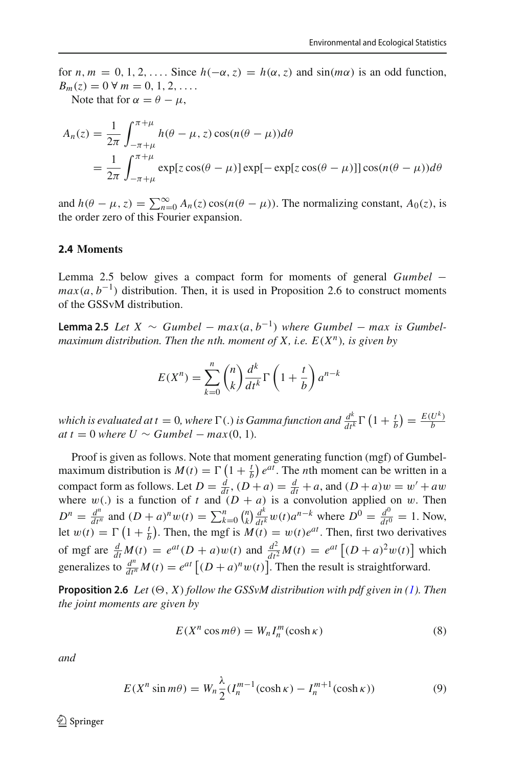for  $n, m = 0, 1, 2, \ldots$  Since  $h(-\alpha, z) = h(\alpha, z)$  and  $sin(m\alpha)$  is an odd function,  $B_m(z) = 0 \,\forall m = 0, 1, 2, \ldots$ 

Note that for  $\alpha = \theta - \mu$ ,

$$
A_n(z) = \frac{1}{2\pi} \int_{-\pi+\mu}^{\pi+\mu} h(\theta - \mu, z) \cos(n(\theta - \mu)) d\theta
$$
  
= 
$$
\frac{1}{2\pi} \int_{-\pi+\mu}^{\pi+\mu} \exp[z \cos(\theta - \mu)] \exp[-\exp[z \cos(\theta - \mu)]] \cos(n(\theta - \mu)) d\theta
$$

and  $h(\theta - \mu, z) = \sum_{n=0}^{\infty} A_n(z) \cos(n(\theta - \mu))$ . The normalizing constant,  $A_0(z)$ , is the order zero of this Fourier expansion.

#### **2.4 Moments**

Lemma 2.5 below gives a compact form for moments of general *Gumbel* −  $max(a, b^{-1})$  distribution. Then, it is used in Proposition 2.6 to construct moments of the GSSvM distribution.

**Lemma 2.5** *Let*  $X \sim$  *Gumbel* −  $max(a, b^{-1})$  *where Gumbel* −  $max$  *is Gumbelmaximum distribution. Then the nth. moment of X, i.e.*  $E(X^n)$ *, is given by* 

$$
E(X^n) = \sum_{k=0}^n {n \choose k} \frac{d^k}{dt^k} \Gamma\left(1 + \frac{t}{b}\right) a^{n-k}
$$

*which is evaluated at t* = 0*, where*  $\Gamma$  (*.) is Gamma function and*  $\frac{d^k}{dt^k} \Gamma$   $\left(1 + \frac{t}{b}\right) = \frac{E(U^k)}{b}$  $at t = 0$  *where*  $U \sim Gumbel - max(0, 1)$ *.* 

Proof is given as follows. Note that moment generating function (mgf) of Gumbelmaximum distribution is  $M(t) = \Gamma(1 + \frac{t}{b}) e^{at}$ . The *n*th moment can be written in a compact form as follows. Let  $D = \frac{d}{dt}$ ,  $(D + a) = \frac{d}{dt} + a$ , and  $(D + a)w = w' + aw$ where  $w(.)$  is a function of *t* and  $(D + a)$  is a convolution applied on w. Then  $D^n = \frac{d^n}{dt^n}$  and  $(D+a)^n w(t) = \sum_{k=0}^n {n \choose k} \frac{d^k}{dt^k} w(t) a^{n-k}$  where  $D^0 = \frac{d^0}{dt^0} = 1$ . Now, let  $w(t) = \Gamma(1 + \frac{t}{b})$ . Then, the mgf is  $M(t) = w(t)e^{at}$ . Then, first two derivatives of mgf are  $\frac{d}{dt}M(t) = e^{at}(D+a)w(t)$  and  $\frac{d^2}{dt^2}M(t) = e^{at}\left[(D+a)^2w(t)\right]$  which generalizes to  $\frac{d^n}{dt^n}M(t) = e^{at}\left[ (D+a)^n w(t) \right]$ . Then the result is straightforward.

**Proposition 2.6** *Let*  $(\Theta, X)$  *follow the GSSvM distribution with pdf given in [\(1\)](#page-2-0). Then the joint moments are given by*

<span id="page-5-0"></span>
$$
E(X^n \cos m\theta) = W_n I_n^m(\cosh \kappa)
$$
\n(8)

*and*

<span id="page-5-1"></span>
$$
E(X^n \sin m\theta) = W_n \frac{\lambda}{2} (I_n^{m-1}(\cosh \kappa) - I_n^{m+1}(\cosh \kappa))
$$
 (9)

 $\textcircled{2}$  Springer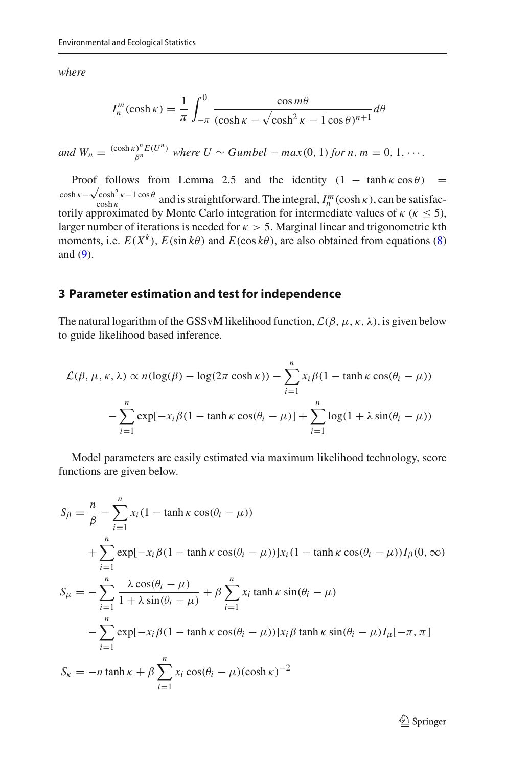*where*

$$
I_n^m(\cosh \kappa) = \frac{1}{\pi} \int_{-\pi}^0 \frac{\cos m\theta}{(\cosh \kappa - \sqrt{\cosh^2 \kappa - 1} \cos \theta)^{n+1}} d\theta
$$

*and*  $W_n = \frac{(\cosh \kappa)^n E(U^n)}{\beta^n}$  where  $U \sim Gumbel - \max(0, 1)$  for  $n, m = 0, 1, \cdots$ .

Proof follows from Lemma 2.5 and the identity  $(1 - \tanh \kappa \cos \theta) =$  $\frac{\cosh \kappa - \sqrt{\cosh^2 \kappa - 1 \cos \theta}}{\cosh \kappa}$  and is straightforward. The integral,  $I_n^m(\cosh \kappa)$ , can be satisfactorily approximated by Monte Carlo integration for intermediate values of  $\kappa$  ( $\kappa \le 5$ ), larger number of iterations is needed for  $\kappa > 5$ . Marginal linear and trigonometric kth moments, i.e.  $E(X^k)$ ,  $E(\sin k\theta)$  and  $E(\cos k\theta)$ , are also obtained from equations [\(8\)](#page-5-0) and [\(9\)](#page-5-1).

## <span id="page-6-0"></span>**3 Parameter estimation and test for independence**

The natural logarithm of the GSSvM likelihood function,  $\mathcal{L}(\beta, \mu, \kappa, \lambda)$ , is given below to guide likelihood based inference.

$$
\mathcal{L}(\beta, \mu, \kappa, \lambda) \propto n(\log(\beta) - \log(2\pi \cosh \kappa)) - \sum_{i=1}^{n} x_i \beta (1 - \tanh \kappa \cos(\theta_i - \mu))
$$

$$
- \sum_{i=1}^{n} \exp[-x_i \beta (1 - \tanh \kappa \cos(\theta_i - \mu))] + \sum_{i=1}^{n} \log(1 + \lambda \sin(\theta_i - \mu))
$$

Model parameters are easily estimated via maximum likelihood technology, score functions are given below.

$$
S_{\beta} = \frac{n}{\beta} - \sum_{i=1}^{n} x_i (1 - \tanh \kappa \cos(\theta_i - \mu))
$$
  
+ 
$$
\sum_{i=1}^{n} \exp[-x_i \beta (1 - \tanh \kappa \cos(\theta_i - \mu))]x_i (1 - \tanh \kappa \cos(\theta_i - \mu))I_{\beta}(0, \infty)
$$
  

$$
S_{\mu} = -\sum_{i=1}^{n} \frac{\lambda \cos(\theta_i - \mu)}{1 + \lambda \sin(\theta_i - \mu)} + \beta \sum_{i=1}^{n} x_i \tanh \kappa \sin(\theta_i - \mu)
$$
  
- 
$$
\sum_{i=1}^{n} \exp[-x_i \beta (1 - \tanh \kappa \cos(\theta_i - \mu))]x_i \beta \tanh \kappa \sin(\theta_i - \mu)I_{\mu}[-\pi, \pi]
$$
  

$$
S_{\kappa} = -n \tanh \kappa + \beta \sum_{i=1}^{n} x_i \cos(\theta_i - \mu)(\cosh \kappa)^{-2}
$$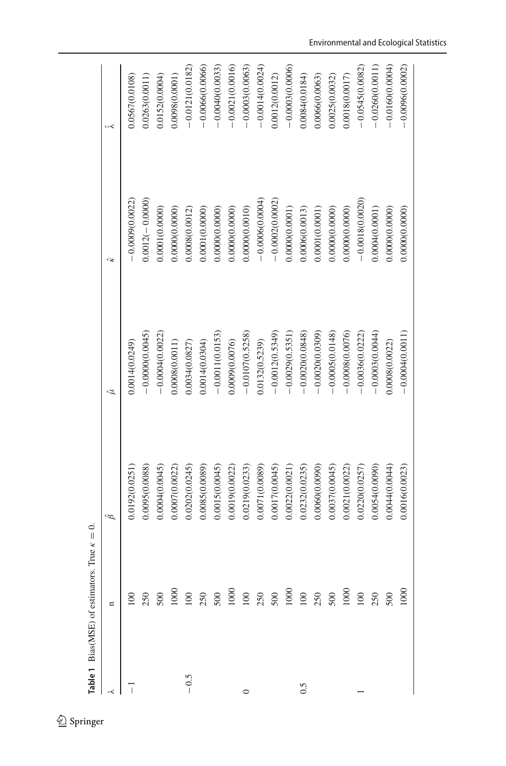|         | <b>Table 1</b> Bias(MSE) of estimators. True $\kappa = 0$ . |                |                   |                   |                   |
|---------|-------------------------------------------------------------|----------------|-------------------|-------------------|-------------------|
|         | $\mathbf{u}$                                                | ê              |                   | ĉ                 | د حر              |
|         |                                                             | 0.0192(0.0251) | 0.0014(0.0249)    | $-0.0009(0.0022)$ | 0.0567(0.0108)    |
|         |                                                             | 0.0095(0.0088) | $-0.00000000045$  | $0.0012(-0.0000)$ | 0.0263(0.0011)    |
|         |                                                             | 0.0004(0.0045) | $-0.0004(0.0022)$ | 0.0001(0.0000)    | 0.0152(0.0004)    |
|         |                                                             | 0.0007(0.0022) | 0.0008(0.0011)    | 0.0000(0.0000)    | 0.0098(0.0001)    |
| $-0.5$  |                                                             | 0.0202(0.0245) | 0.0034(0.0827)    | 0.0008(0.0012)    | $-0.0121(0.0182)$ |
|         |                                                             | 0.0085(0.0089) | 0.0014(0.0304)    | 0.0001(0.0000)    | 0.0066(0.0066)    |
|         |                                                             | 0.0015(0.0045) | $-0.0011(0.0153)$ | 0.0000(0.0000)    | 0.0040(0.0033)    |
|         |                                                             | 0.0019(0.0022) | 0.0009(0.0076)    | 0.0000(0.0000)    | 0.0021(0.0016)    |
| $\circ$ |                                                             | 0.0219(0.0233) | $-0.0107(0.5258)$ | 0.000000.0010     | $-0.0003(0.0063)$ |
|         |                                                             | 0.0071(0.0089) | 0.0132(0.5239)    | $-0.0006(0.0004)$ | $-0.0014(0.0024)$ |
|         |                                                             | 0.0017(0.0045) | $-0.0012(0.5349)$ | $-0.0002(0.0002)$ | 0.0012(0.0012)    |
|         |                                                             | 0.0022(0.0021) | $-0.0029(0.5351)$ | 0.0000(0.0001)    | $-0.0003(0.0006)$ |
| 0.5     |                                                             | 0.0232(0.0235) | $-0.0020(0.0848)$ | 0.0006(0.0013)    | 0.0084(0.0184)    |
|         |                                                             | 0.0060(0.0090) | $-0.0020(0.0309)$ | 0.0001(0.0001)    | 0.0666(0.0063)    |
|         |                                                             | 0.0037(0.0045) | $-0.0005(0.0148)$ | 0.0000(0.0000)    | 0.0025(0.0032)    |
|         |                                                             | 0.0021(0.0022) | $-0.0008(0.0076)$ | 0.0000(0.0000)    | 0.0018(0.0017)    |
|         |                                                             | 0.0220(0.0257) | $-0.0036(0.0222)$ | $-0.0018(0.0020)$ | $-0.0545(0.0082)$ |
|         |                                                             | 0.0054(0.0090) | $-0.0003(0.0044)$ | 0.0004(0.0001)    | 0.0260(0.0011)    |
|         |                                                             | 0.0044(0.0044) | 0.0008(0.0022)    | 0.0000(0.0000)    | 0.0160(0.0004)    |
|         | 1000                                                        | 0.0016(0.0023) | $-0.0004(0.0011)$ | 0.0000(0.0000)    | $-0.0096(0.0002)$ |

<span id="page-7-0"></span> $\underline{\textcircled{\tiny 2}}$  Springer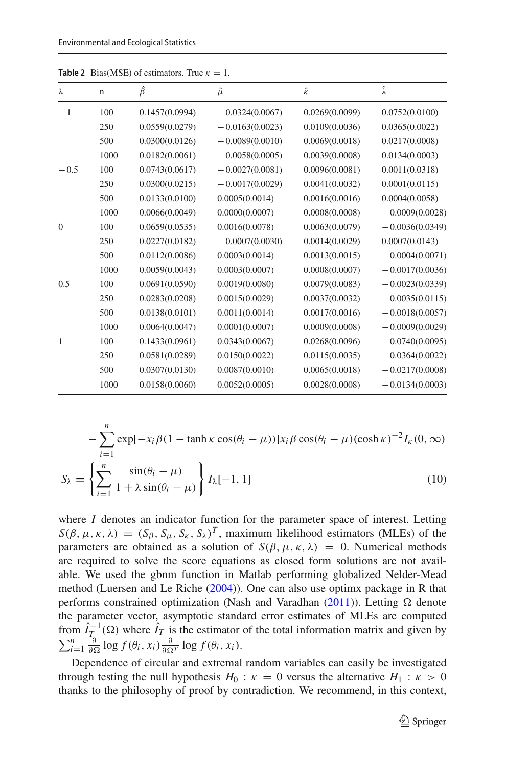| λ              | $\mathbf n$ | $\hat{\beta}$  | $\hat{\mu}$       | $\hat{\kappa}$ | $\hat{\lambda}$   |
|----------------|-------------|----------------|-------------------|----------------|-------------------|
| $-1$           | 100         | 0.1457(0.0994) | $-0.0324(0.0067)$ | 0.0269(0.0099) | 0.0752(0.0100)    |
|                | 250         | 0.0559(0.0279) | $-0.0163(0.0023)$ | 0.0109(0.0036) | 0.0365(0.0022)    |
|                | 500         | 0.0300(0.0126) | $-0.0089(0.0010)$ | 0.0069(0.0018) | 0.0217(0.0008)    |
|                | 1000        | 0.0182(0.0061) | $-0.0058(0.0005)$ | 0.0039(0.0008) | 0.0134(0.0003)    |
| $-0.5$         | 100         | 0.0743(0.0617) | $-0.0027(0.0081)$ | 0.0096(0.0081) | 0.0011(0.0318)    |
|                | 250         | 0.0300(0.0215) | $-0.0017(0.0029)$ | 0.0041(0.0032) | 0.0001(0.0115)    |
|                | 500         | 0.0133(0.0100) | 0.0005(0.0014)    | 0.0016(0.0016) | 0.0004(0.0058)    |
|                | 1000        | 0.0066(0.0049) | 0.0000(0.0007)    | 0.0008(0.0008) | $-0.0009(0.0028)$ |
| $\overline{0}$ | 100         | 0.0659(0.0535) | 0.0016(0.0078)    | 0.0063(0.0079) | $-0.0036(0.0349)$ |
|                | 250         | 0.0227(0.0182) | $-0.0007(0.0030)$ | 0.0014(0.0029) | 0.0007(0.0143)    |
|                | 500         | 0.0112(0.0086) | 0.0003(0.0014)    | 0.0013(0.0015) | $-0.0004(0.0071)$ |
|                | 1000        | 0.0059(0.0043) | 0.0003(0.0007)    | 0.0008(0.0007) | $-0.0017(0.0036)$ |
| 0.5            | 100         | 0.0691(0.0590) | 0.0019(0.0080)    | 0.0079(0.0083) | $-0.0023(0.0339)$ |
|                | 250         | 0.0283(0.0208) | 0.0015(0.0029)    | 0.0037(0.0032) | $-0.0035(0.0115)$ |
|                | 500         | 0.0138(0.0101) | 0.0011(0.0014)    | 0.0017(0.0016) | $-0.0018(0.0057)$ |
|                | 1000        | 0.0064(0.0047) | 0.0001(0.0007)    | 0.0009(0.0008) | $-0.0009(0.0029)$ |
| 1              | 100         | 0.1433(0.0961) | 0.0343(0.0067)    | 0.0268(0.0096) | $-0.0740(0.0095)$ |
|                | 250         | 0.0581(0.0289) | 0.0150(0.0022)    | 0.0115(0.0035) | $-0.0364(0.0022)$ |
|                | 500         | 0.0307(0.0130) | 0.0087(0.0010)    | 0.0065(0.0018) | $-0.0217(0.0008)$ |
|                | 1000        | 0.0158(0.0060) | 0.0052(0.0005)    | 0.0028(0.0008) | $-0.0134(0.0003)$ |
|                |             |                |                   |                |                   |

**Table 2** Bias(MSE) of estimators. True  $\kappa = 1$ .

$$
-\sum_{i=1}^{n} \exp[-x_i \beta (1 - \tanh \kappa \cos(\theta_i - \mu))]x_i \beta \cos(\theta_i - \mu)(\cosh \kappa)^{-2} I_{\kappa}(0, \infty)
$$

$$
S_{\lambda} = \left\{ \sum_{i=1}^{n} \frac{\sin(\theta_i - \mu)}{1 + \lambda \sin(\theta_i - \mu)} \right\} I_{\lambda}[-1, 1]
$$
(10)

where *I* denotes an indicator function for the parameter space of interest. Letting  $S(\beta, \mu, \kappa, \lambda) = (S_\beta, S_\mu, S_\kappa, S_\lambda)^T$ , maximum likelihood estimators (MLEs) of the parameters are obtained as a solution of  $S(\beta, \mu, \kappa, \lambda) = 0$ . Numerical methods are required to solve the score equations as closed form solutions are not available. We used the gbnm function in Matlab performing globalized Nelder-Mead method (Luersen and Le Rich[e](#page-15-9) [\(2004](#page-15-9))). One can also use optimx package in R that performs co[n](#page-15-10)strained optimization (Nash and Varadhan  $(2011)$ ). Letting  $\Omega$  denote the parameter vector, asymptotic standard error estimates of MLEs are computed from  $\hat{I}_T^{-1}(\Omega)$  where  $\hat{I}_T$  is the estimator of the total information matrix and given by  $\sum_{i=1}^{n} \frac{\partial}{\partial \Omega} \log f(\theta_i, x_i) \frac{\partial}{\partial \Omega^T} \log f(\theta_i, x_i)$ .

Dependence of circular and extremal random variables can easily be investigated through testing the null hypothesis  $H_0$ :  $\kappa = 0$  versus the alternative  $H_1$ :  $\kappa > 0$ thanks to the philosophy of proof by contradiction. We recommend, in this context,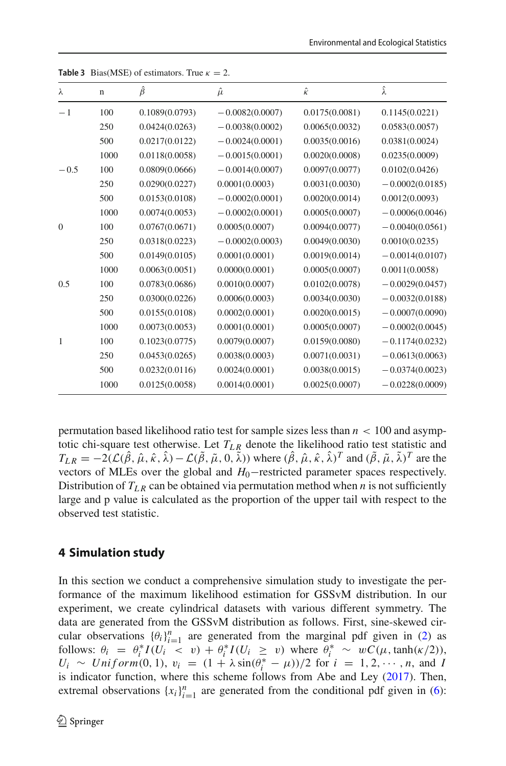| λ        | $\mathbf n$ | $\hat{\beta}$  | $\hat{\mu}$       | $\hat{\kappa}$ | $\hat{\lambda}$   |
|----------|-------------|----------------|-------------------|----------------|-------------------|
| $-1$     | 100         | 0.1089(0.0793) | $-0.0082(0.0007)$ | 0.0175(0.0081) | 0.1145(0.0221)    |
|          | 250         | 0.0424(0.0263) | $-0.0038(0.0002)$ | 0.0065(0.0032) | 0.0583(0.0057)    |
|          | 500         | 0.0217(0.0122) | $-0.0024(0.0001)$ | 0.0035(0.0016) | 0.0381(0.0024)    |
|          | 1000        | 0.0118(0.0058) | $-0.0015(0.0001)$ | 0.0020(0.0008) | 0.0235(0.0009)    |
| $-0.5$   | 100         | 0.0809(0.0666) | $-0.0014(0.0007)$ | 0.0097(0.0077) | 0.0102(0.0426)    |
|          | 250         | 0.0290(0.0227) | 0.0001(0.0003)    | 0.0031(0.0030) | $-0.0002(0.0185)$ |
|          | 500         | 0.0153(0.0108) | $-0.0002(0.0001)$ | 0.0020(0.0014) | 0.0012(0.0093)    |
|          | 1000        | 0.0074(0.0053) | $-0.0002(0.0001)$ | 0.0005(0.0007) | $-0.0006(0.0046)$ |
| $\theta$ | 100         | 0.0767(0.0671) | 0.0005(0.0007)    | 0.0094(0.0077) | $-0.0040(0.0561)$ |
|          | 250         | 0.0318(0.0223) | $-0.0002(0.0003)$ | 0.0049(0.0030) | 0.0010(0.0235)    |
|          | 500         | 0.0149(0.0105) | 0.0001(0.0001)    | 0.0019(0.0014) | $-0.0014(0.0107)$ |
|          | 1000        | 0.0063(0.0051) | 0.0000(0.0001)    | 0.0005(0.0007) | 0.0011(0.0058)    |
| 0.5      | 100         | 0.0783(0.0686) | 0.0010(0.0007)    | 0.0102(0.0078) | $-0.0029(0.0457)$ |
|          | 250         | 0.0300(0.0226) | 0.0006(0.0003)    | 0.0034(0.0030) | $-0.0032(0.0188)$ |
|          | 500         | 0.0155(0.0108) | 0.0002(0.0001)    | 0.0020(0.0015) | $-0.0007(0.0090)$ |
|          | 1000        | 0.0073(0.0053) | 0.0001(0.0001)    | 0.0005(0.0007) | $-0.0002(0.0045)$ |
| 1        | 100         | 0.1023(0.0775) | 0.0079(0.0007)    | 0.0159(0.0080) | $-0.1174(0.0232)$ |
|          | 250         | 0.0453(0.0265) | 0.0038(0.0003)    | 0.0071(0.0031) | $-0.0613(0.0063)$ |
|          | 500         | 0.0232(0.0116) | 0.0024(0.0001)    | 0.0038(0.0015) | $-0.0374(0.0023)$ |
|          | 1000        | 0.0125(0.0058) | 0.0014(0.0001)    | 0.0025(0.0007) | $-0.0228(0.0009)$ |

<span id="page-9-1"></span>

| <b>Table 3</b> Bias(MSE) of estimators. True $\kappa = 2$ . |  |
|-------------------------------------------------------------|--|
|-------------------------------------------------------------|--|

permutation based likelihood ratio test for sample sizes less than  $n < 100$  and asymptotic chi-square test otherwise. Let  $T_{LR}$  denote the likelihood ratio test statistic and  $T_{LR} = -2(\mathcal{L}(\hat{\beta}, \hat{\mu}, \hat{\kappa}, \hat{\lambda}) - \mathcal{L}(\tilde{\beta}, \tilde{\mu}, 0, \tilde{\lambda}))$  where  $(\hat{\beta}, \hat{\mu}, \hat{\kappa}, \hat{\lambda})^T$  and  $(\tilde{\beta}, \tilde{\mu}, \tilde{\lambda})^T$  are the vectors of MLEs over the global and *H*0−restricted parameter spaces respectively. Distribution of  $T_{LR}$  can be obtained via permutation method when *n* is not sufficiently large and p value is calculated as the proportion of the upper tail with respect to the observed test statistic.

# <span id="page-9-0"></span>**4 Simulation study**

In this section we conduct a comprehensive simulation study to investigate the performance of the maximum likelihood estimation for GSSvM distribution. In our experiment, we create cylindrical datasets with various different symmetry. The data are generated from the GSSvM distribution as follows. First, sine-skewed circular observations  ${\theta_i}_{i=1}^n$  are generated from the marginal pdf given in [\(2\)](#page-2-1) as follows:  $\theta_i = \theta_i^* I(U_i \lt v) + \theta_i^* I(U_i \ge v)$  where  $\theta_i^* \sim wC(\mu, \tanh(\kappa/2)),$  $U_i \sim Uniform(0, 1), v_i = (1 + \lambda \sin(\theta_i^* - \mu))/2$  for  $i = 1, 2, \dots, n$ , and *I* is indicator function, where this scheme follows from Abe and Le[y](#page-15-6) [\(2017\)](#page-15-6). Then, extremal observations  $\{x_i\}_{i=1}^n$  are generated from the conditional pdf given in [\(6\)](#page-4-0):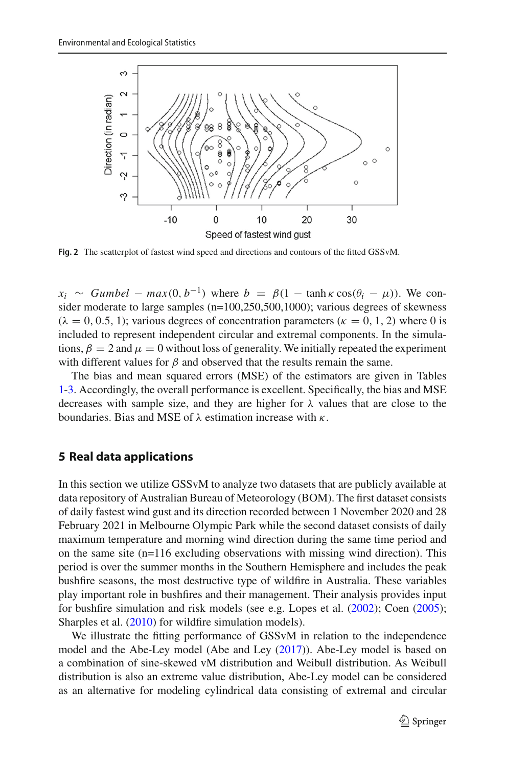

<span id="page-10-1"></span>**Fig. 2** The scatterplot of fastest wind speed and directions and contours of the fitted GSSvM.

 $x_i \sim$  *Gumbel* −  $max(0, b^{-1})$  where  $b = \beta(1 - \tanh \kappa \cos(\theta_i - \mu))$ . We consider moderate to large samples (n=100,250,500,1000); various degrees of skewness  $(\lambda = 0, 0.5, 1)$ ; various degrees of concentration parameters  $(\kappa = 0, 1, 2)$  where 0 is included to represent independent circular and extremal components. In the simulations,  $\beta = 2$  and  $\mu = 0$  without loss of generality. We initially repeated the experiment with different values for  $\beta$  and observed that the results remain the same.

The bias and mean squared errors (MSE) of the estimators are given in Tables [1-](#page-7-0)[3.](#page-9-1) Accordingly, the overall performance is excellent. Specifically, the bias and MSE decreases with sample size, and they are higher for  $\lambda$  values that are close to the boundaries. Bias and MSE of  $\lambda$  estimation increase with  $\kappa$ .

# <span id="page-10-0"></span>**5 Real data applications**

In this section we utilize GSSvM to analyze two datasets that are publicly available at data repository of Australian Bureau of Meteorology (BOM). The first dataset consists of daily fastest wind gust and its direction recorded between 1 November 2020 and 28 February 2021 in Melbourne Olympic Park while the second dataset consists of daily maximum temperature and morning wind direction during the same time period and on the same site (n=116 excluding observations with missing wind direction). This period is over the summer months in the Southern Hemisphere and includes the peak bushfire seasons, the most destructive type of wildfire in Australia. These variables play important role in bushfires and their management. Their analysis provides input for bushfire simulation and risk models (see e.g. Lopes et al[.](#page-15-11) [\(2002](#page-15-11)); Coe[n](#page-15-12) [\(2005\)](#page-15-12); Sharples et al[.](#page-15-13) [\(2010\)](#page-15-13) for wildfire simulation models).

We illustrate the fitting performance of GSSvM in relation to the independence model and the Abe-Ley model (Abe and Le[y](#page-15-6) [\(2017](#page-15-6))). Abe-Ley model is based on a combination of sine-skewed vM distribution and Weibull distribution. As Weibull distribution is also an extreme value distribution, Abe-Ley model can be considered as an alternative for modeling cylindrical data consisting of extremal and circular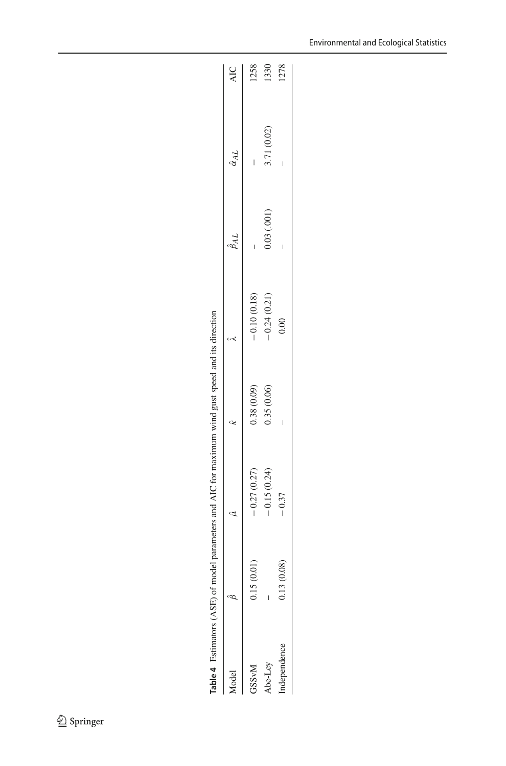<span id="page-11-0"></span>

| -ometers and $\Delta W$ for maximum wind oust spead and it. |  |
|-------------------------------------------------------------|--|
|                                                             |  |
|                                                             |  |
|                                                             |  |
| $\frac{1}{2}$<br>י<br>י                                     |  |
|                                                             |  |
|                                                             |  |
|                                                             |  |
|                                                             |  |
|                                                             |  |
|                                                             |  |
|                                                             |  |
|                                                             |  |
| יים בבוצו<br>ĺ                                              |  |
|                                                             |  |
| <b>NNE - Fallin</b><br>J                                    |  |
|                                                             |  |
| <b>LahleT</b><br>$\overline{ }$                             |  |

|                         |               | $\frac{1}{2}$ and $\frac{1}{2}$ and $\frac{1}{2}$ and $\frac{1}{2}$ and $\frac{1}{2}$ and $\frac{1}{2}$ and $\frac{1}{2}$ and $\frac{1}{2}$ and $\frac{1}{2}$ and $\frac{1}{2}$ and $\frac{1}{2}$ and $\frac{1}{2}$ and $\frac{1}{2}$ and $\frac{1}{2}$ and $\frac{1}{2}$ and $\frac{1}{2}$ a |            |               |                    |                     |      |
|-------------------------|---------------|-----------------------------------------------------------------------------------------------------------------------------------------------------------------------------------------------------------------------------------------------------------------------------------------------|------------|---------------|--------------------|---------------------|------|
| Model                   |               | $\hat{u}$                                                                                                                                                                                                                                                                                     | î.         |               | $\hat{\beta}_{AL}$ | $\hat{\alpha}_{AL}$ | AIC  |
| <b>GSS<sub>vM</sub></b> | (0.01)<br>211 | $-0.27(0.27)$                                                                                                                                                                                                                                                                                 | 0.38(0.09) | $-0.10(0.18)$ |                    | I                   | 1258 |
| Abe-Ley                 |               | $-0.15(0.24)$                                                                                                                                                                                                                                                                                 | 0.35(0.06) | $-0.24(0.21)$ | $0.03$ $(.001)$    | 3.71 (0.02)         | 1330 |
| ndependence             | (0.08)<br>13  | $-0.37$                                                                                                                                                                                                                                                                                       |            | 00(           | Ī                  |                     | 1278 |
|                         |               |                                                                                                                                                                                                                                                                                               |            |               |                    |                     |      |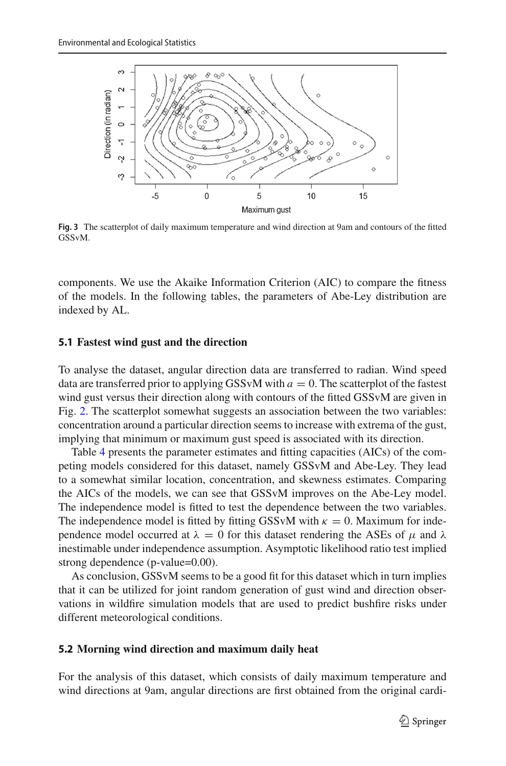

<span id="page-12-0"></span>**Fig. 3** The scatterplot of daily maximum temperature and wind direction at 9am and contours of the fitted GSSvM.

components. We use the Akaike Information Criterion (AIC) to compare the fitness of the models. In the following tables, the parameters of Abe-Ley distribution are indexed by AL.

#### **5.1 Fastest wind gust and the direction**

To analyse the dataset, angular direction data are transferred to radian. Wind speed data are transferred prior to applying GSSvM with  $a = 0$ . The scatterplot of the fastest wind gust versus their direction along with contours of the fitted GSSvM are given in Fig. [2.](#page-10-1) The scatterplot somewhat suggests an association between the two variables: concentration around a particular direction seems to increase with extrema of the gust, implying that minimum or maximum gust speed is associated with its direction.

Table [4](#page-11-0) presents the parameter estimates and fitting capacities (AICs) of the competing models considered for this dataset, namely GSSvM and Abe-Ley. They lead to a somewhat similar location, concentration, and skewness estimates. Comparing the AICs of the models, we can see that GSSvM improves on the Abe-Ley model. The independence model is fitted to test the dependence between the two variables. The independence model is fitted by fitting GSSvM with  $\kappa = 0$ . Maximum for independence model occurred at  $\lambda = 0$  for this dataset rendering the ASEs of  $\mu$  and  $\lambda$ inestimable under independence assumption. Asymptotic likelihood ratio test implied strong dependence (p-value=0.00).

As conclusion, GSSvM seems to be a good fit for this dataset which in turn implies that it can be utilized for joint random generation of gust wind and direction observations in wildfire simulation models that are used to predict bushfire risks under different meteorological conditions.

#### **5.2 Morning wind direction and maximum daily heat**

For the analysis of this dataset, which consists of daily maximum temperature and wind directions at 9am, angular directions are first obtained from the original cardi-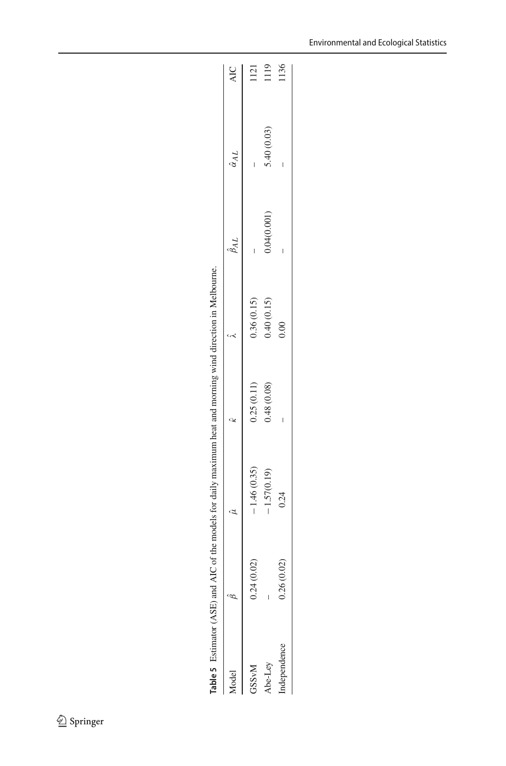<span id="page-13-0"></span>

| ;<br>;<br>י<br>י |
|------------------|
|                  |
|                  |
|                  |
|                  |
|                  |
|                  |
|                  |
|                  |
|                  |
|                  |
|                  |
| ı                |
|                  |
|                  |
| į                |
| ļ                |
| able:<br>í<br>I  |

|                         |                             | "WE have the common strains with the contract with the crown of the contract of the contract of the contract of the contract of the contract of the contract of the contract of the contract of the contract of the contract o |            |            |                    |                     |            |
|-------------------------|-----------------------------|--------------------------------------------------------------------------------------------------------------------------------------------------------------------------------------------------------------------------------|------------|------------|--------------------|---------------------|------------|
| <b>fodel</b>            |                             | $\hat{u}$                                                                                                                                                                                                                      | ĉ          |            | $\hat{\beta}_{AL}$ | $\hat{\alpha}_{AL}$ | <b>AIC</b> |
| <b>GSS<sub>vM</sub></b> | (0.02)<br>0.24              | $-1.46(0.35)$                                                                                                                                                                                                                  | 0.25(0.11) | 0.36(0.15) |                    |                     | 1121       |
| Abe-Ley                 |                             | $-1.57(0.19)$                                                                                                                                                                                                                  | 0.48(0.08) | 0.40(0.15) | 0.04(0.001)        | 5.40(0.03)          | 1119       |
| ndependence             | (0.02)<br>0.26 <sub>1</sub> | 0.24                                                                                                                                                                                                                           | ı          | 0.00       |                    |                     | 136        |
|                         |                             |                                                                                                                                                                                                                                |            |            |                    |                     |            |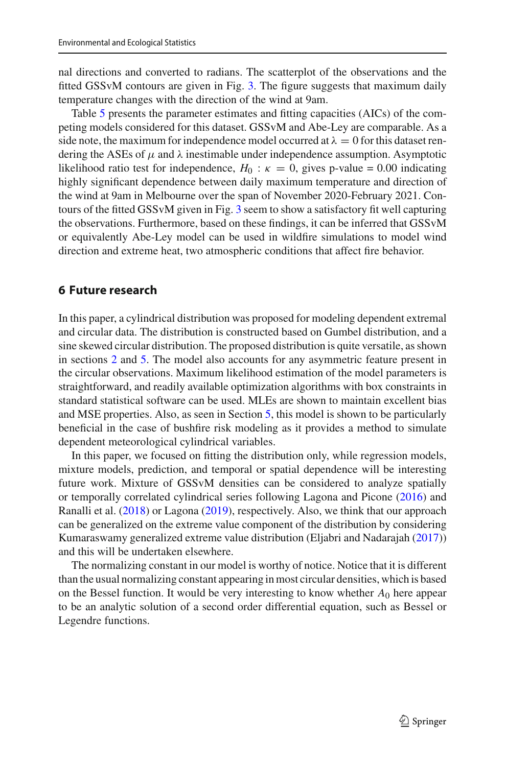nal directions and converted to radians. The scatterplot of the observations and the fitted GSSvM contours are given in Fig. [3.](#page-12-0) The figure suggests that maximum daily temperature changes with the direction of the wind at 9am.

Table [5](#page-13-0) presents the parameter estimates and fitting capacities (AICs) of the competing models considered for this dataset. GSSvM and Abe-Ley are comparable. As a side note, the maximum for independence model occurred at  $\lambda = 0$  for this dataset rendering the ASEs of  $\mu$  and  $\lambda$  inestimable under independence assumption. Asymptotic likelihood ratio test for independence,  $H_0$ :  $\kappa = 0$ , gives p-value = 0.00 indicating highly significant dependence between daily maximum temperature and direction of the wind at 9am in Melbourne over the span of November 2020-February 2021. Contours of the fitted GSSvM given in Fig. [3](#page-12-0) seem to show a satisfactory fit well capturing the observations. Furthermore, based on these findings, it can be inferred that GSSvM or equivalently Abe-Ley model can be used in wildfire simulations to model wind direction and extreme heat, two atmospheric conditions that affect fire behavior.

### <span id="page-14-0"></span>**6 Future research**

In this paper, a cylindrical distribution was proposed for modeling dependent extremal and circular data. The distribution is constructed based on Gumbel distribution, and a sine skewed circular distribution. The proposed distribution is quite versatile, as shown in sections [2](#page-1-0) and [5.](#page-10-0) The model also accounts for any asymmetric feature present in the circular observations. Maximum likelihood estimation of the model parameters is straightforward, and readily available optimization algorithms with box constraints in standard statistical software can be used. MLEs are shown to maintain excellent bias and MSE properties. Also, as seen in Section [5,](#page-10-0) this model is shown to be particularly beneficial in the case of bushfire risk modeling as it provides a method to simulate dependent meteorological cylindrical variables.

In this paper, we focused on fitting the distribution only, while regression models, mixture models, prediction, and temporal or spatial dependence will be interesting future work. Mixture of GSSvM densities can be considered to analyze spatially or temporally correlated cylindrical series following Lagona and Picon[e](#page-15-14) [\(2016](#page-15-14)) and Ranalli et al[.](#page-15-15) [\(2018\)](#page-15-15) or Lagon[a](#page-15-7) [\(2019](#page-15-7)), respectively. Also, we think that our approach can be generalized on the extreme value component of the distribution by considering Kumaraswamy generalized extreme value distribution (Eljabri and Nadaraja[h](#page-15-16) [\(2017](#page-15-16))) and this will be undertaken elsewhere.

The normalizing constant in our model is worthy of notice. Notice that it is different than the usual normalizing constant appearing in most circular densities, which is based on the Bessel function. It would be very interesting to know whether  $A_0$  here appear to be an analytic solution of a second order differential equation, such as Bessel or Legendre functions.